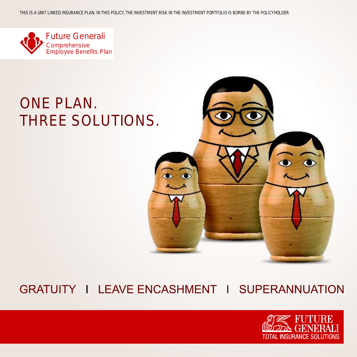

## ONE PLAN. THREE SOLUTIONS.



### GRATUITY I LEAVE ENCASHMENT I SUPERANNUATION

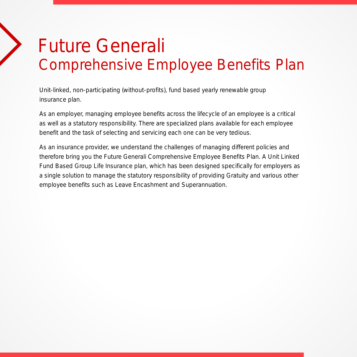# Future Generali Comprehensive Employee Benefits Plan

Unit-linked, non-participating (without-profits), fund based yearly renewable group insurance plan.

As an employer, managing employee benefits across the lifecycle of an employee is a critical as well as a statutory responsibility. There are specialized plans available for each employee benefit and the task of selecting and servicing each one can be very tedious.

As an insurance provider, we understand the challenges of managing different policies and therefore bring you the Future Generali Comprehensive Employee Benefits Plan. A Unit Linked Fund Based Group Life Insurance plan, which has been designed specifically for employers as a single solution to manage the statutory responsibility of providing Gratuity and various other employee benefits such as Leave Encashment and Superannuation.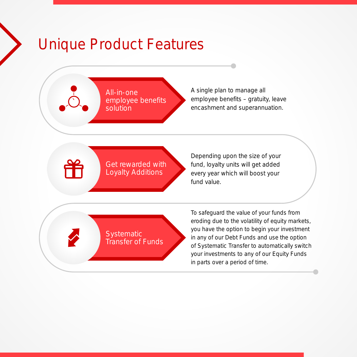## Unique Product Features

`

All-in-one employee benefits solution

A single plan to manage all employee benefits – gratuity, leave encashment and superannuation.

Get rewarded with Loyalty Additions

Depending upon the size of your fund, loyalty units will get added every year which will boost your fund value.

Systematic Transfer of Funds To safeguard the value of your funds from eroding due to the volatility of equity markets, you have the option to begin your investment in any of our Debt Funds and use the option of Systematic Transfer to automatically switch your investments to any of our Equity Funds in parts over a period of time.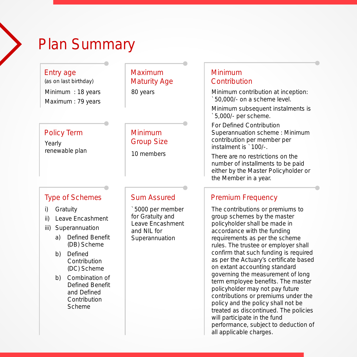### Plan Summary

Entry age

Minimum : 18 years Maximum : 79 years (as on last birthday)

#### Maximum Maturity Age

80 years

#### Policy Term

Yearly renewable plan

#### Minimum Group Size

10 members

#### Type of Schemes

- i) Gratuity
- ii) Leave Encashment
- iii) Superannuation
	- a) Defined Benefit (DB) Scheme
	- b) Defined Contribution (DC) Scheme
	- b) Combination of Defined Benefit and Defined **Contribution** Scheme

#### Sum Assured

`5000 per member for Gratuity and Leave Encashment and NIL for Superannuation

#### Minimum **Contribution**

Minimum contribution at inception: `50,000/- on a scheme level.

Minimum subsequent instalments is `5,000/- per scheme.

For Defined Contribution Superannuation scheme : Minimum contribution per member per instalment is `100/-.

There are no restrictions on the number of installments to be paid either by the Master Policyholder or the Member in a year.

#### Premium Frequency

The contributions or premiums to group schemes by the master policyholder shall be made in accordance with the funding requirements as per the scheme rules. The trustee or employer shall confirm that such funding is required as per the Actuary's certificate based on extant accounting standard governing the measurement of long term employee benefits. The master policyholder may not pay future contributions or premiums under the policy and the policy shall not be treated as discontinued. The policies will participate in the fund performance, subject to deduction of all applicable charges.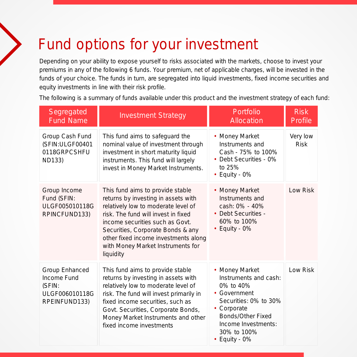## Fund options for your investment

Depending on your ability to expose yourself to risks associated with the markets, choose to invest your premiums in any of the following 6 funds. Your premium, net of applicable charges, will be invested in the funds of your choice. The funds in turn, are segregated into liquid investments, fixed income securities and equity investments in line with their risk profile.

The following is a summary of funds available under this product and the investment strategy of each fund:

| Segregated<br><b>Fund Name</b>                                             | <b>Investment Strategy</b>                                                                                                                                                                                                                                                                                              | Portfolio<br>Allocation                                                                                                                                                                        | <b>Risk</b><br>Profile  |
|----------------------------------------------------------------------------|-------------------------------------------------------------------------------------------------------------------------------------------------------------------------------------------------------------------------------------------------------------------------------------------------------------------------|------------------------------------------------------------------------------------------------------------------------------------------------------------------------------------------------|-------------------------|
| Group Cash Fund<br>(SFIN:ULGF00401<br>0118GRPCSHFU<br><b>ND133)</b>        | This fund aims to safeguard the<br>nominal value of investment through<br>investment in short maturity liquid<br>instruments. This fund will largely<br>invest in Money Market Instruments.                                                                                                                             | • Money Market<br>Instruments and<br>Cash - 75% to 100%<br>• Debt Securities - 0%<br>to 25%<br>$\cdot$ Equity - 0%                                                                             | Very low<br><b>Risk</b> |
| Group Income<br>Fund (SFIN:<br>ULGF005010118G<br>RPINCFUND133)             | This fund aims to provide stable<br>returns by investing in assets with<br>relatively low to moderate level of<br>risk. The fund will invest in fixed<br>income securities such as Govt.<br>Securities, Corporate Bonds & any<br>other fixed income investments along<br>with Money Market Instruments for<br>liquidity | • Money Market<br>Instruments and<br>cash: 0% - 40%<br>• Debt Securities -<br>60% to 100%<br>$\cdot$ Equity - 0%                                                                               | Low Risk                |
| Group Enhanced<br>Income Fund<br>(SFIN:<br>ULGF006010118G<br>RPEINFUND133) | This fund aims to provide stable<br>returns by investing in assets with<br>relatively low to moderate level of<br>risk. The fund will invest primarily in<br>fixed income securities, such as<br>Govt. Securities, Corporate Bonds,<br>Money Market Instruments and other<br>fixed income investments                   | • Money Market<br>Instruments and cash:<br>0% to 40%<br>• Government<br>Securities: 0% to 30%<br>• Corporate<br>Bonds/Other Fixed<br>Income Investments:<br>30% to 100%<br>$\cdot$ Equity - 0% | Low Risk                |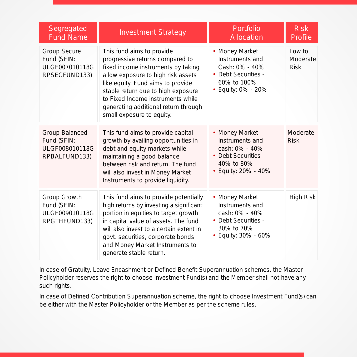| Segregated<br><b>Fund Name</b>                                        | <b>Investment Strategy</b>                                                                                                                                                                                                                                                                                                    | Portfolio<br>Allocation                                                                                         | <b>Risk</b><br>Profile            |
|-----------------------------------------------------------------------|-------------------------------------------------------------------------------------------------------------------------------------------------------------------------------------------------------------------------------------------------------------------------------------------------------------------------------|-----------------------------------------------------------------------------------------------------------------|-----------------------------------|
| <b>Group Secure</b><br>Fund (SFIN:<br>ULGF007010118G<br>RPSECFUND133) | This fund aims to provide<br>progressive returns compared to<br>fixed income instruments by taking<br>a low exposure to high risk assets<br>like equity. Fund aims to provide<br>stable return due to high exposure<br>to Fixed Income instruments while<br>generating additional return through<br>small exposure to equity. | • Money Market<br>Instruments and<br>Cash: 0% - 40%<br>• Debt Securities -<br>60% to 100%<br>• Equity: 0% - 20% | Low to<br>Moderate<br><b>Risk</b> |
| Group Balanced<br>Fund (SFIN:<br>ULGF008010118G<br>RPBALFUND133)      | This fund aims to provide capital<br>growth by availing opportunities in<br>debt and equity markets while<br>maintaining a good balance<br>between risk and return. The fund<br>will also invest in Money Market<br>Instruments to provide liquidity.                                                                         | • Money Market<br>Instruments and<br>cash: 0% - 40%<br>• Debt Securities -<br>40% to 80%<br>• Equity: 20% - 40% | Moderate<br><b>Risk</b>           |
| Group Growth<br>Fund (SFIN:<br>ULGF009010118G<br>RPGTHFUND133)        | This fund aims to provide potentially<br>high returns by investing a significant<br>portion in equities to target growth<br>in capital value of assets. The fund<br>will also invest to a certain extent in<br>govt. securities, corporate bonds<br>and Money Market Instruments to<br>generate stable return.                | • Money Market<br>Instruments and<br>cash: 0% - 40%<br>• Debt Securities -<br>30% to 70%<br>• Equity: 30% - 60% | <b>High Risk</b>                  |

In case of Gratuity, Leave Encashment or Defined Benefit Superannuation schemes, the Master Policyholder reserves the right to choose Investment Fund(s) and the Member shall not have any such rights.

In case of Defined Contribution Superannuation scheme, the right to choose Investment Fund(s) can be either with the Master Policyholder or the Member as per the scheme rules.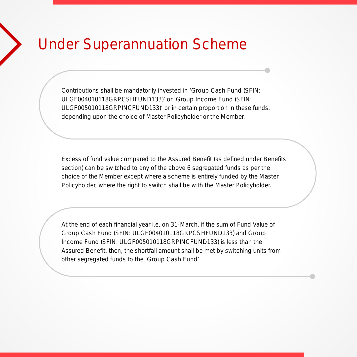### Under Superannuation Scheme

Contributions shall be mandatorily invested in 'Group Cash Fund (SFIN: ULGF004010118GRPCSHFUND133)' or 'Group Income Fund (SFIN: ULGF005010118GRPINCFUND133)' or in certain proportion in these funds, depending upon the choice of Master Policyholder or the Member.

Excess of fund value compared to the Assured Benefit (as defined under Benefits section) can be switched to any of the above 6 segregated funds as per the choice of the Member except where a scheme is entirely funded by the Master Policyholder, where the right to switch shall be with the Master Policyholder.

At the end of each financial year i.e. on 31-March, if the sum of Fund Value of Group Cash Fund (SFIN: ULGF004010118GRPCSHFUND133) and Group Income Fund (SFIN: ULGF005010118GRPINCFUND133) is less than the Assured Benefit, then, the shortfall amount shall be met by switching units from other segregated funds to the 'Group Cash Fund'.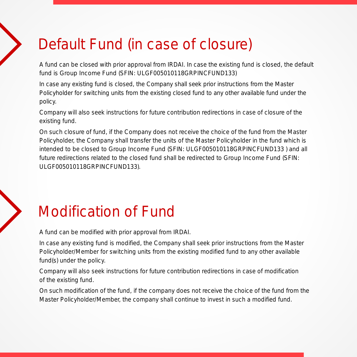## Default Fund (in case of closure)

A fund can be closed with prior approval from IRDAI. In case the existing fund is closed, the default fund is Group Income Fund (SFIN: ULGF005010118GRPINCFUND133)

In case any existing fund is closed, the Company shall seek prior instructions from the Master Policyholder for switching units from the existing closed fund to any other available fund under the policy.

Company will also seek instructions for future contribution redirections in case of closure of the existing fund.

On such closure of fund, if the Company does not receive the choice of the fund from the Master Policyholder, the Company shall transfer the units of the Master Policyholder in the fund which is intended to be closed to Group Income Fund (SFIN: ULGF005010118GRPINCFUND133 ) and all future redirections related to the closed fund shall be redirected to Group Income Fund (SFIN: ULGF005010118GRPINCFUND133).

## Modification of Fund

A fund can be modified with prior approval from IRDAI.

In case any existing fund is modified, the Company shall seek prior instructions from the Master Policyholder/Member for switching units from the existing modified fund to any other available fund(s) under the policy.

Company will also seek instructions for future contribution redirections in case of modification of the existing fund.

On such modification of the fund, if the company does not receive the choice of the fund from the Master Policyholder/Member, the company shall continue to invest in such a modified fund.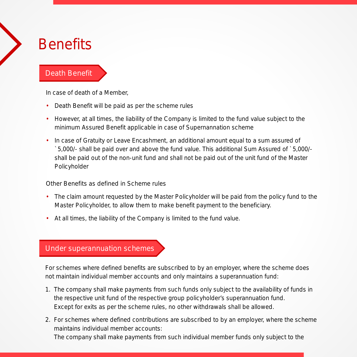### **Benefits**

#### Death Benefit

In case of death of a Member,

- Death Benefit will be paid as per the scheme rules
- However, at all times, the liability of the Company is limited to the fund value subject to the minimum Assured Benefit applicable in case of Supernannation scheme
- In case of Gratuity or Leave Encashment, an additional amount equal to a sum assured of `5,000/- shall be paid over and above the fund value. This additional Sum Assured of `5,000/ shall be paid out of the non-unit fund and shall not be paid out of the unit fund of the Master Policyholder

Other Benefits as defined in Scheme rules

- The claim amount requested by the Master Policyholder will be paid from the policy fund to the Master Policyholder, to allow them to make benefit payment to the beneficiary.
- At all times, the liability of the Company is limited to the fund value.

#### Under superannuation schemes

For schemes where defined benefits are subscribed to by an employer, where the scheme does not maintain individual member accounts and only maintains a superannuation fund:

- 1. The company shall make payments from such funds only subject to the availability of funds in the respective unit fund of the respective group policyholder's superannuation fund. Except for exits as per the scheme rules, no other withdrawals shall be allowed.
- 2. For schemes where defined contributions are subscribed to by an employer, where the scheme maintains individual member accounts:

The company shall make payments from such individual member funds only subject to the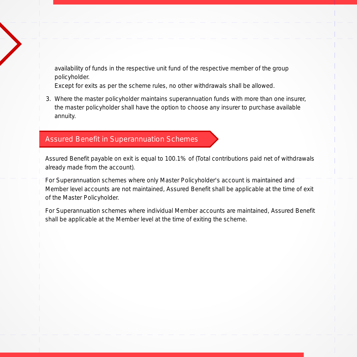availability of funds in the respective unit fund of the respective member of the group policyholder.

- Except for exits as per the scheme rules, no other withdrawals shall be allowed.
- 3. Where the master policyholder maintains superannuation funds with more than one insurer, the master policyholder shall have the option to choose any insurer to purchase available annuity.

#### Assured Benefit in Superannuation Schemes

Assured Benefit payable on exit is equal to 100.1% of (Total contributions paid net of withdrawals already made from the account).

For Superannuation schemes where only Master Policyholder's account is maintained and Member level accounts are not maintained, Assured Benefit shall be applicable at the time of exit of the Master Policyholder.

For Superannuation schemes where individual Member accounts are maintained, Assured Benefit shall be applicable at the Member level at the time of exiting the scheme.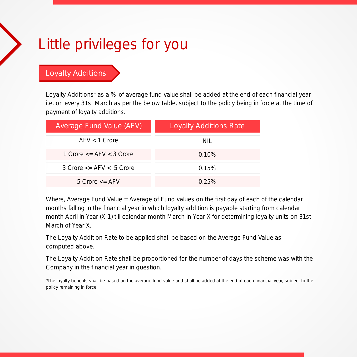## Little privileges for you

Loyalty Additions

Loyalty Additions\* as a % of average fund value shall be added at the end of each financial year i.e. on every 31st March as per the below table, subject to the policy being in force at the time of payment of loyalty additions.

| Average Fund Value (AFV)            | <b>Loyalty Additions Rate</b> |  |
|-------------------------------------|-------------------------------|--|
| $AFV < 1$ Crore                     | NIL                           |  |
| 1 Crore $\leq$ AFV $\leq$ 3 Crore   | $0.10\%$                      |  |
| $3$ Crore $\leq$ AFV $\leq$ 5 Crore | 0.15%                         |  |
| 5 Crore $\leq$ AFV                  | $0.25\%$                      |  |

Where, Average Fund Value = Average of Fund values on the first day of each of the calendar months falling in the financial year in which loyalty addition is payable starting from calendar month April in Year (X-1) till calendar month March in Year X for determining loyalty units on 31st March of Year X.

The Loyalty Addition Rate to be applied shall be based on the Average Fund Value as computed above.

The Loyalty Addition Rate shall be proportioned for the number of days the scheme was with the Company in the financial year in question.

\*The loyalty benefits shall be based on the average fund value and shall be added at the end of each financial year, subject to the policy remaining in force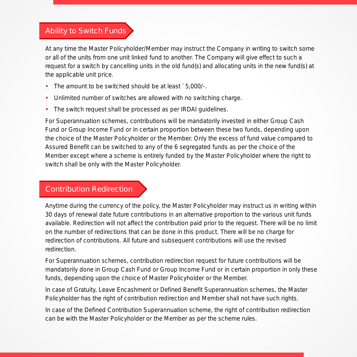#### Ability to Switch Funds

At any time the Master Policyholder/Member may instruct the Company in writing to switch some or all of the units from one unit linked fund to another. The Company will give effect to such a request for a switch by cancelling units in the old fund(s) and allocating units in the new fund(s) at the applicable unit price.

- The amount to be switched should be at least `5,000/-.
- Unlimited number of switches are allowed with no switching charge. •
- The switch request shall be processed as per IRDAI guidelines. •

For Superannuation schemes, contributions will be mandatorily invested in either Group Cash Fund or Group Income Fund or in certain proportion between these two funds, depending upon the choice of the Master Policyholder or the Member. Only the excess of fund value compared to Assured Benefit can be switched to any of the 6 segregated funds as per the choice of the Member except where a scheme is entirely funded by the Master Policyholder where the right to switch shall be only with the Master Policyholder.

#### Contribution Redirection

Anytime during the currency of the policy, the Master Policyholder may instruct us in writing within 30 days of renewal date future contributions in an alternative proportion to the various unit funds available. Redirection will not affect the contribution paid prior to the request. There will be no limit on the number of redirections that can be done in this product. There will be no charge for redirection of contributions. All future and subsequent contributions will use the revised redirection.

For Superannuation schemes, contribution redirection request for future contributions will be mandatorily done in Group Cash Fund or Group Income Fund or in certain proportion in only these funds, depending upon the choice of Master Policyholder or the Member.

In case of Gratuity, Leave Encashment or Defined Benefit Superannuation schemes, the Master Policyholder has the right of contribution redirection and Member shall not have such rights.

In case of the Defined Contribution Superannuation scheme, the right of contribution redirection can be with the Master Policyholder or the Member as per the scheme rules.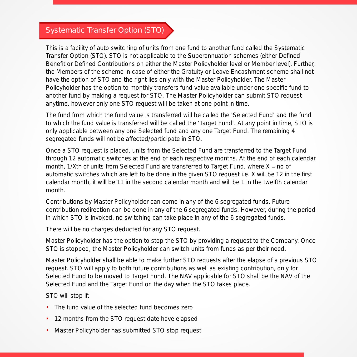#### Systematic Transfer Option (STO)

This is a facility of auto switching of units from one fund to another fund called the Systematic Transfer Option (STO). STO is not applicable to the Superannuation schemes (either Defined Benefit or Defined Contributions on either the Master Policyholder level or Member level). Further, the Members of the scheme in case of either the Gratuity or Leave Encashment scheme shall not have the option of STO and the right lies only with the Master Policyholder. The Master Policyholder has the option to monthly transfers fund value available under one specific fund to another fund by making a request for STO. The Master Policyholder can submit STO request anytime, however only one STO request will be taken at one point in time.

The fund from which the fund value is transferred will be called the 'Selected Fund' and the fund to which the fund value is transferred will be called the 'Target Fund'. At any point in time, STO is only applicable between any one Selected fund and any one Target Fund. The remaining 4 segregated funds will not be affected/participate in STO.

Once a STO request is placed, units from the Selected Fund are transferred to the Target Fund through 12 automatic switches at the end of each respective months. At the end of each calendar month,  $1/X$ th of units from Selected Fund are transferred to Target Fund, where  $X =$  no of automatic switches which are left to be done in the given STO request i.e. X will be 12 in the first calendar month, it will be 11 in the second calendar month and will be 1 in the twelfth calendar month.

Contributions by Master Policyholder can come in any of the 6 segregated funds. Future contribution redirection can be done in any of the 6 segregated funds. However, during the period in which STO is invoked, no switching can take place in any of the 6 segregated funds.

There will be no charges deducted for any STO request.

Master Policyholder has the option to stop the STO by providing a request to the Company. Once STO is stopped, the Master Policyholder can switch units from funds as per their need.

Master Policyholder shall be able to make further STO requests after the elapse of a previous STO request. STO will apply to both future contributions as well as existing contribution, only for Selected Fund to be moved to Target Fund. The NAV applicable for STO shall be the NAV of the Selected Fund and the Target Fund on the day when the STO takes place.

STO will stop if:

- The fund value of the selected fund becomes zero
- 12 months from the STO request date have elapsed
- Master Policyholder has submitted STO stop request •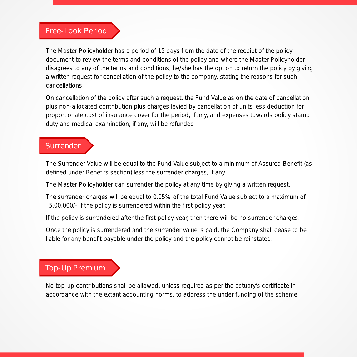#### Free-Look Period

The Master Policyholder has a period of 15 days from the date of the receipt of the policy document to review the terms and conditions of the policy and where the Master Policyholder disagrees to any of the terms and conditions, he/she has the option to return the policy by giving a written request for cancellation of the policy to the company, stating the reasons for such cancellations.

On cancellation of the policy after such a request, the Fund Value as on the date of cancellation plus non-allocated contribution plus charges levied by cancellation of units less deduction for proportionate cost of insurance cover for the period, if any, and expenses towards policy stamp duty and medical examination, if any, will be refunded.

#### **Surrender**

The Surrender Value will be equal to the Fund Value subject to a minimum of Assured Benefit (as defined under Benefits section) less the surrender charges, if any.

The Master Policyholder can surrender the policy at any time by giving a written request.

The surrender charges will be equal to 0.05% of the total Fund Value subject to a maximum of `5,00,000/- if the policy is surrendered within the first policy year.

If the policy is surrendered after the first policy year, then there will be no surrender charges.

Once the policy is surrendered and the surrender value is paid, the Company shall cease to be liable for any benefit payable under the policy and the policy cannot be reinstated.

#### Top-Up Premium

No top-up contributions shall be allowed, unless required as per the actuary's certificate in accordance with the extant accounting norms, to address the under funding of the scheme.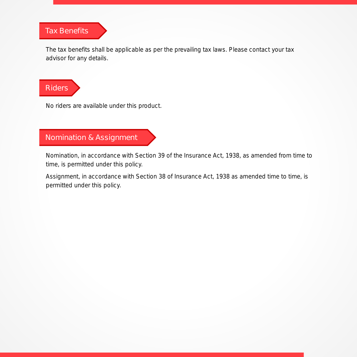#### Tax Benefits

The tax benefits shall be applicable as per the prevailing tax laws. Please contact your tax advisor for any details.

Riders

No riders are available under this product.

#### Nomination & Assignment

Nomination, in accordance with Section 39 of the Insurance Act, 1938, as amended from time to time, is permitted under this policy.

Assignment, in accordance with Section 38 of Insurance Act, 1938 as amended time to time, is permitted under this policy.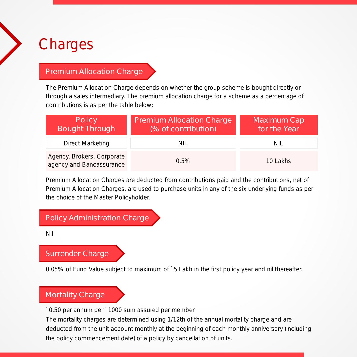### **Charges**

#### Premium Allocation Charge

The Premium Allocation Charge depends on whether the group scheme is bought directly or through a sales intermediary. The premium allocation charge for a scheme as a percentage of contributions is as per the table below:

| Policy<br><b>Bought Through</b>                        | Premium Allocation Charge<br>(% of contribution) | Maximum Cap<br>for the Year |
|--------------------------------------------------------|--------------------------------------------------|-----------------------------|
| <b>Direct Marketing</b>                                | NIL                                              | NIL                         |
| Agency, Brokers, Corporate<br>agency and Bancassurance | $0.5\%$                                          | 10 Lakhs                    |

Premium Allocation Charges are deducted from contributions paid and the contributions, net of Premium Allocation Charges, are used to purchase units in any of the six underlying funds as per the choice of the Master Policyholder.

#### Policy Administration Charge

Nil

#### Surrender Charge

0.05% of Fund Value subject to maximum of `5 Lakh in the first policy year and nil thereafter.

#### Mortality Charge

`0.50 per annum per `1000 sum assured per member

The mortality charges are determined using 1/12th of the annual mortality charge and are deducted from the unit account monthly at the beginning of each monthly anniversary (including the policy commencement date) of a policy by cancellation of units.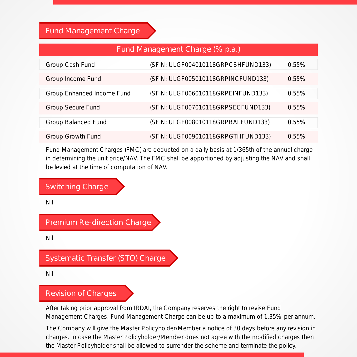#### Fund Management Charge

#### Fund Management Charge (% p.a.)

| Group Cash Fund            | (SFIN: ULGF004010118GRPCSHFUND133) | 0.55%    |
|----------------------------|------------------------------------|----------|
| Group Income Fund          | (SFIN: ULGF005010118GRPINCFUND133) | 0.55%    |
| Group Enhanced Income Fund | (SFIN: ULGF006010118GRPEINFUND133) | 0.55%    |
| <b>Group Secure Fund</b>   | (SFIN: ULGF007010118GRPSECFUND133) | 0.55%    |
| <b>Group Balanced Fund</b> | (SFIN: ULGF008010118GRPBALFUND133) | 0.55%    |
| <b>Group Growth Fund</b>   | (SFIN: ULGF009010118GRPGTHFUND133) | $0.55\%$ |

Fund Management Charges (FMC) are deducted on a daily basis at 1/365th of the annual charge in determining the unit price/NAV. The FMC shall be apportioned by adjusting the NAV and shall be levied at the time of computation of NAV.

#### Switching Charge

Nil

Premium Re-direction Charge

Nil

#### Systematic Transfer (STO) Charge

Nil

#### Revision of Charges

After taking prior approval from IRDAI, the Company reserves the right to revise Fund Management Charges. Fund Management Charge can be up to a maximum of 1.35% per annum.

The Company will give the Master Policyholder/Member a notice of 30 days before any revision in charges. In case the Master Policyholder/Member does not agree with the modified charges then the Master Policyholder shall be allowed to surrender the scheme and terminate the policy.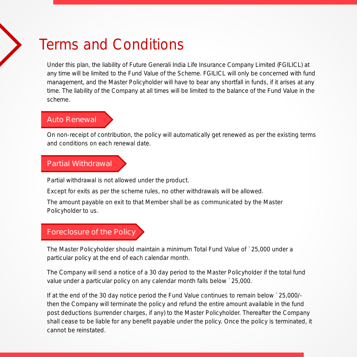### Terms and Conditions

Under this plan, the liability of Future Generali India Life Insurance Company Limited (FGILICL) at any time will be limited to the Fund Value of the Scheme. FGILICL will only be concerned with fund management, and the Master Policyholder will have to bear any shortfall in funds, if it arises at any time. The liability of the Company at all times will be limited to the balance of the Fund Value in the scheme.

#### Auto Renewal

On non-receipt of contribution, the policy will automatically get renewed as per the existing terms and conditions on each renewal date.

#### Partial Withdrawal

Partial withdrawal is not allowed under the product.

Except for exits as per the scheme rules, no other withdrawals will be allowed.

The amount payable on exit to that Member shall be as communicated by the Master Policyholder to us.

#### Foreclosure of the Policy

The Master Policyholder should maintain a minimum Total Fund Value of `25,000 under a particular policy at the end of each calendar month.

The Company will send a notice of a 30 day period to the Master Policyholder if the total fund value under a particular policy on any calendar month falls below `25,000.

If at the end of the 30 day notice period the Fund Value continues to remain below `25,000/ then the Company will terminate the policy and refund the entire amount available in the fund post deductions (surrender charges, if any) to the Master Policyholder. Thereafter the Company shall cease to be liable for any benefit payable under the policy. Once the policy is terminated, it cannot be reinstated.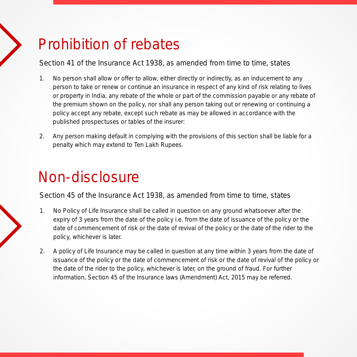## Prohibition of rebates

Section 41 of the Insurance Act 1938, as amended from time to time, states

- 1. No person shall allow or offer to allow, either directly or indirectly, as an inducement to any person to take or renew or continue an insurance in respect of any kind of risk relating to lives or property in India, any rebate of the whole or part of the commission payable or any rebate of the premium shown on the policy, nor shall any person taking out or renewing or continuing a policy accept any rebate, except such rebate as may be allowed in accordance with the published prospectuses or tables of the insurer:
- 2. Any person making default in complying with the provisions of this section shall be liable for a penalty which may extend to Ten Lakh Rupees.

## Non-disclosure

Section 45 of the Insurance Act 1938, as amended from time to time, states

- 1. No Policy of Life Insurance shall be called in question on any ground whatsoever after the expiry of 3 years from the date of the policy i.e. from the date of issuance of the policy or the date of commencement of risk or the date of revival of the policy or the date of the rider to the policy, whichever is later.
- 2. A policy of Life Insurance may be called in question at any time within 3 years from the date of issuance of the policy or the date of commencement of risk or the date of revival of the policy or the date of the rider to the policy, whichever is later, on the ground of fraud. For further information, Section 45 of the Insurance laws (Amendment) Act, 2015 may be referred.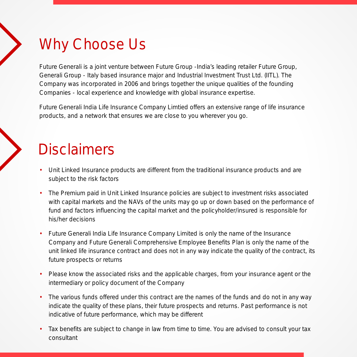## Why Choose Us

Future Generali is a joint venture between Future Group -India's leading retailer Future Group, Generali Group - Italy based insurance major and Industrial Investment Trust Ltd. (IITL). The Company was incorporated in 2006 and brings together the unique qualities of the founding Companies - local experience and knowledge with global insurance expertise.

Future Generali India Life Insurance Company Limtied offers an extensive range of life insurance products, and a network that ensures we are close to you wherever you go.

### **Disclaimers**

- Unit Linked Insurance products are different from the traditional insurance products and are subject to the risk factors
- The Premium paid in Unit Linked Insurance policies are subject to investment risks associated with capital markets and the NAVs of the units may go up or down based on the performance of fund and factors influencing the capital market and the policyholder/insured is responsible for his/her decisions
- Future Generali India Life Insurance Company Limited is only the name of the Insurance Company and Future Generali Comprehensive Employee Benefits Plan is only the name of the unit linked life insurance contract and does not in any way indicate the quality of the contract, its future prospects or returns
- Please know the associated risks and the applicable charges, from your insurance agent or the intermediary or policy document of the Company
- The various funds offered under this contract are the names of the funds and do not in any way indicate the quality of these plans, their future prospects and returns. Past performance is not indicative of future performance, which may be different
- Tax benefits are subject to change in law from time to time. You are advised to consult your tax consultant